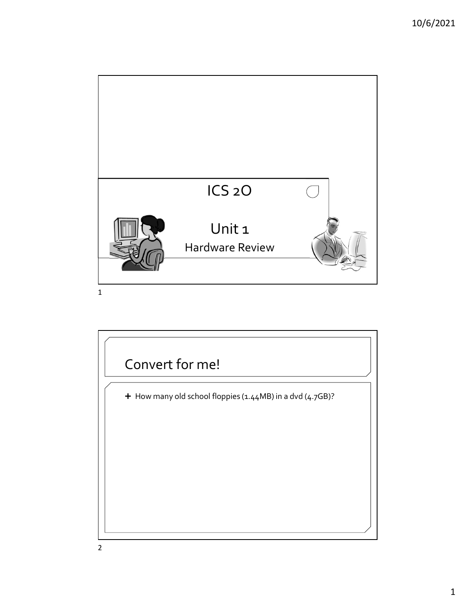

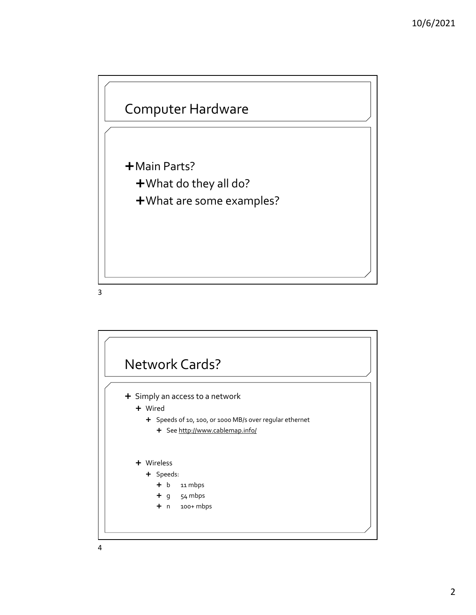

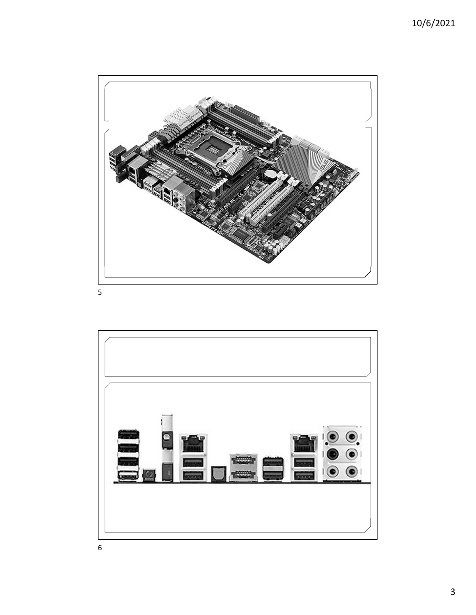



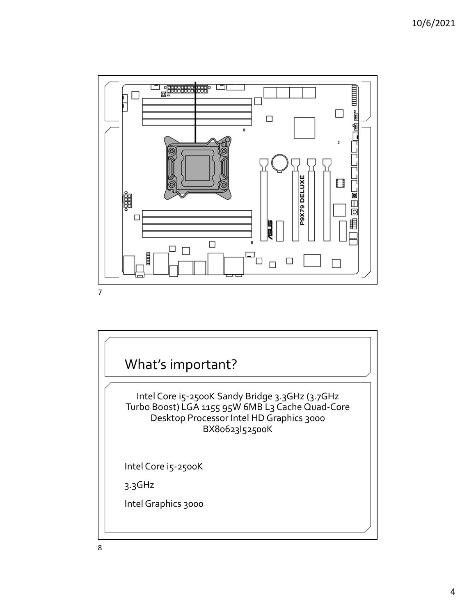

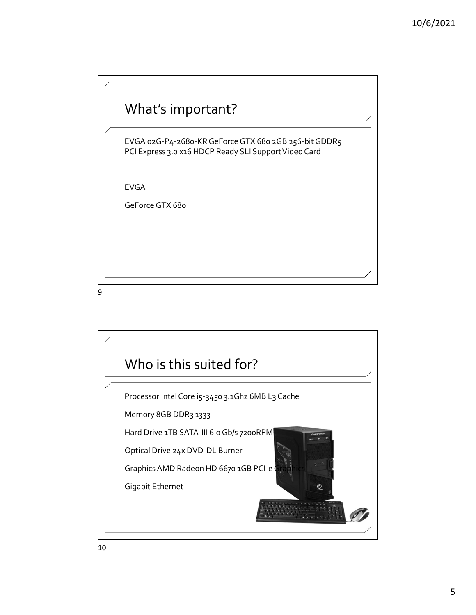## What's important?

EVGA 02G-P4-2680-KR GeForce GTX 680 2GB 256-bit GDDR5 PCI Express 3.0 x16 HDCP Ready SLI Support Video Card

EVGA

GeForce GTX 680

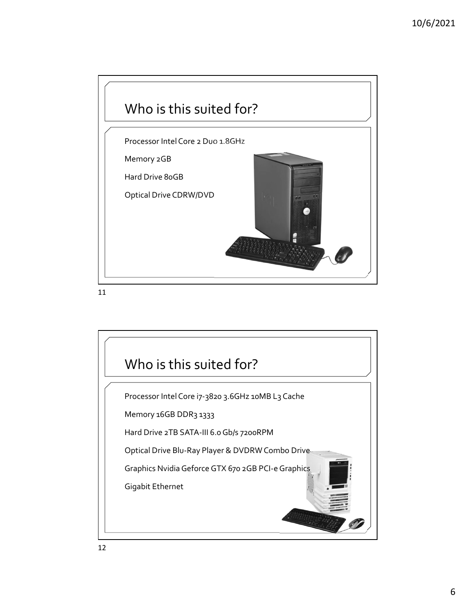

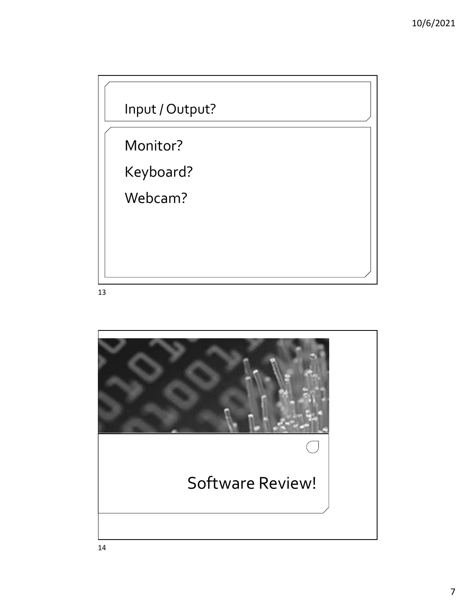

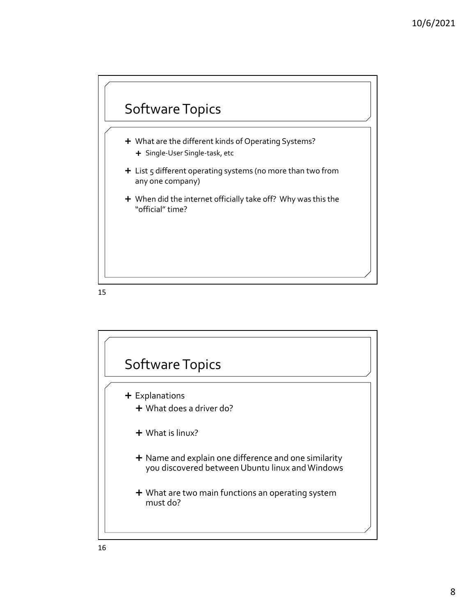## Software Topics

- What are the different kinds of Operating Systems?
	- + Single-User Single-task, etc
- $+$  List 5 different operating systems (no more than two from any one company)
- When did the internet officially take off? Why was this the "official" time?

15